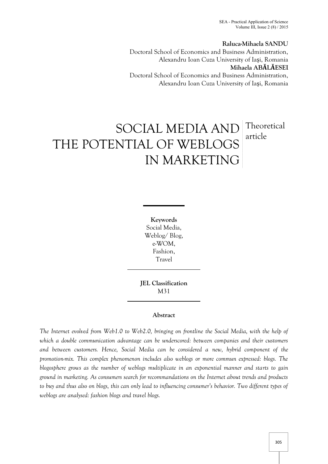SEA - Practical Application of Science Volume III, Issue  $2(8)/2015$ 

### **Raluca-Mihaela SANDU**

Doctoral School of Economics and Business Administration, Alexandru Ioan Cuza University of Iaşi, Romania **Mihaela ABĂLĂESEI** Doctoral School of Economics and Business Administration, Alexandru Ioan Cuza University of Iaşi, Romania

# SOCIAL MEDIA AND THE POTENTIAL OF WEBLOGS IN MARKETING Theoretical article

**Keywords** Social Media, Weblog/ Blog, e-WOM, Fashion, Travel

**JEL Classification** M31

### **Abstract**

*The Internet evolved from Web1.0 to Web2.0, bringing on frontline the Social Media, with the help of which a double communication advantage can be underscored: between companies and their customers and between customers. Hence, Social Media can be considered a new, hybrid component of the promotion-mix. This complex phenomenon includes also weblogs or more commun expressed: blogs. The blogosphere grows as the number of weblogs multiplicate in an exponential manner and starts to gain ground in marketing. As consumers search for recommandations on the Internet about trends and products to buy and thus also on blogs, this can only lead to influencing consumer's behavior. Two different types of weblogs are analysed: fashion blogs and travel blogs.*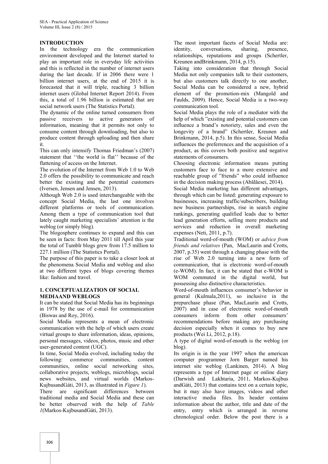## **INTRODUCTION**

In the technology era the communication identity, environment developed and the Internet started to play an important role in everyday life activities and this is reflected in the number of internet users during the last decade. If in 2006 there were 1 billion internet users, at the end of 2015 it is forecasted that it will triple, reaching 3 billion internet users (Global Internet Report 2014). From this, a total of 1.96 billion is estimated that are social network users (The Statistics Portal).

The dynamic of the online turned consumers from passive receivers to active generators of information, meaning that it permits not only to consume content through downloading, but also to produce content through uploading and then share it.

This can only intensify Thomas Friedman's (2007) statement that ''the world is flat'' because of the flattening of access on the Internet.

The evolution of the Internet from Web 1.0 to Web 2.0 offers the possibility to communicate and reach better the existing and the potential customers (Iversen, Jensen and Jensen, 2013).

Although Web 2.0 is used interchangeable with the concept Social Media, the last one involves different platforms or tools of communication. Among them a type of communication tool that lately caught marketing specialists' attention is the weblog (or simply blog).

The blogosphere continues to expand and this can be seen in facts: from May 2011 till April this year the total of Tumblr blogs grew from 17.5 million to 227.1 million (The Statistics Portal).

The purpose of this paper is to take a closer look at the phenomena Social Media and weblog and also at two different types of blogs covering themes like: fashion and travel.

### **1. CONCEPTUALIZATION OF SOCIAL MEDIAAND WEBLOGS**

It can be stated that Social Media has its beginnings in 1978 by the use of e-mail for communication (Biswas and Roy, 2016).

Social Media represents a mean of electronic communication with the help of which users create virtual groups to share information, ideas, opinions, personal messages, videos, photos, music and other user-generated content (UGC).

In time, Social Media evolved, including today the following: commerce communities, content communities, online social networking sites, collaborative projects, weblogs, microblogs, social news websites, and virtual worlds (Markos- KujbusandGáti, 2013, as illustrated in *Figure 1*). There are significant differences between

traditional media and Social Media and these can be better observed with the help of *Table 1*(Markos-KujbusandGáti, 2013).

The most important facets of Social Media are: conversations, sharing, presence, relationships, reputations and groups (Schertler, Kreunen andBrinkmann, 2014, p.15).

Taking into consideration that through Social Media not only companies talk to their customers, but also customers talk directly to one another, Social Media can be considered a new, hybrid element of the promotion-mix (Mangold and Faulds, 2009). Hence, Social Media is a two-way communication tool.

Social Media plays the role of a mediator with the help of which "existing and potential customers can influence a brand's notoriety, sales and even the longevity of a brand" (Schertler, Kreunen and Brinkmann, 2014, p.5). In this sense, Social Media influences the preferrences and the acquisition of a product, as this covers both positive and negative statements of consumers.

Choosing electronic information means putting customers face to face to a more extensive and reachable group of "friends" who could influence in the decision making process (Abălăesei, 2014).

Social Media marketing has different advantages, through which can be listed: generating exposure to businesses, increasing traffic/subscribers, building new business partnerships, rise in search engine rankings, generating qualified leads due to better lead generation efforts, selling more products and services and reduction in overall marketing expenses (Neti, 2011, p.7).

Traditional word-of-mouth (WOM) or *advice from friends and relatives* (Pan, MacLaurin and Crotts, 2007, p.35) went through a changing phase with the rise of Web 2.0 turning into a new form of communication, that is electronic word-of-mouth (e-WOM). In fact, it can be stated that e-WOM is WOM commuted in the digital world, but possessing also distinctive characteristics.

Word-of-mouth influences consumer's behavior in general (Kulmala,2011), so inclusive in the prepurchase phase (Pan, MacLaurin and Crotts, 2007) and in case of electronic word-of-mouth consumers inform from other consumers' recommendations before making any purchasing decision especially when it comes to buy new products (Wei Li, 2012, p.18).

A type of digital word-of-mouth is the weblog (or blog).

Its origin is in the year 1997 when the american computer programmer Jorn Barger named his internet site weblog (Lankinen, 2014). A blog represents a type of Internet page or online diary (Darwish and Lakhtaria, 2011, Markos-Kujbus andGáti, 2013) that contains text on a certain topic, but it may also have images, videos and other interactive media files. Its header contains information about the author, title and date of the entry, entry which is arranged in reverse chronological order. Below the post there is a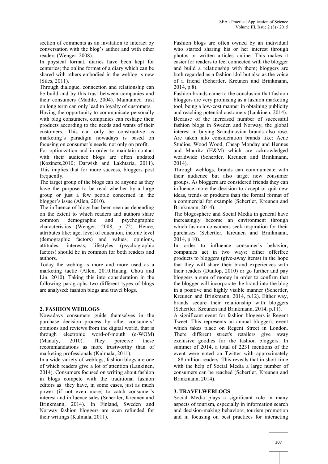section of comments as an invitation to interact by conversation with the blog's author and with other readers (Wenger, 2008).

In physical format, diaries have been kept for centuries; the online format of a diary which can be shared with others embodied in the weblog is new (Siles, 2011).

Through dialogue, connection and relationship can be build and by this trust between companies and their consumers (Madile, 2004). Maintained trust on long term can only lead to loyalty of customers.

Having the opportunity to communicate personally with blog consumers, companies can reshape their products according to the needs and wants of their customers. This can only be constructive as marketing's paradigm nowadays is based on focusing on consumer's needs, not only on profit.

For optimization and in order to maintain contact with their audience blogs are often updated (Kozinets,2010; Darwish and Lakhtaria, 2011). This implies that for more success, bloggers post frequently.

The target group of the blogs can be anyone as they have the purpose to be read whether by a large group or just a few people concerned in the blogger's issue (Allen, 2010).

The influence of blogs has been seen as depending on the extent to which readers and authors share<br>common demographic and psychographic common demographic and psychographic characteristics (Wenger, 2008, p.172). Hence, attributes like: age, level of education, income level (demographic factors) and values, opinions, attitudes, interests, lifestyles (psychographic factors) should be in common for both readers and authors.

Today the weblog is more and more used as a marketing tactic (Allen, 2010;Huang, Chou and Lin, 2010). Taking this into consideration in the following paragraphs two different types of blogs are analysed: fashion blogs and travel blogs.

## **2. FASHION WEBLOGS**

Nowadays consumers guide themselves in the purchase decision process by other consumers' opinions and reviews from the digital world, that is through electronic word-of-mouth (e-WOM)<br>(Manafy, 2010). They perceive these 2010). They perceive these recommandations as more trustworthy than of marketing professionals (Kulmala, 2011).

In a wide variety of weblogs, fashion blogs are one of which readers give a lot of attention (Lankinen, 2014). Consumers focused on writing about fashion in blogs compete with the traditional fashion editors as they have, in some cases, just as much power (if not even more) to catch consumer's interest and influence sales (Schertler, Kreunen and Brinkmann, 2014). In Finland, Sweden and Norway fashion bloggers are even refunded for their writings (Kulmala, 2011).

Fashion blogs are often owned by an individual who started sharing his or her interest through photos or written articles online. This makes it easier for readers to feel connected with the blogger and build a relationship with them; bloggers are both regarded as a fashion idol but also as the voice of a friend (Schertler, Kreunen and Brinkmann, 2014, p.8).

Fashion brands came to the conclusion that fashion bloggers are very promising as a fashion marketing tool, being a low-cost manner in obtaining publicity and reaching potential customers (Lankinen, 2014). Because of the increased number of successful fashion blogs in Sweden and Norway, the global interest in buying Scandinavian brands also rose. Are taken into consideration brands like: Acne Studios, Wood Wood, Cheap Monday and Hennes and Mauritz (H&M) which are acknowledged worldwide (Schertler, Kreunen and Brinkmann, 2014).

Through weblogs, brands can communicate with their audience but also target new consumer groups. As bloggers are considered friends they can influence more the decision to accept or quit new ideas, trends or products than the formal format of a commercial for example (Schertler, Kreunen and Brinkmann, 2014).

The blogosphere and Social Media in general have increasingly become an environment through which fashion consumers seek inspiration for their purchases (Schertler, Kreunen and Brinkmann, 2014, p.10).

In order to influence consumer's behavior, companies act in two ways: either offerfree products to bloggers (give-away items) in the hope that they will share their brand experiences with their readers (Dunlop, 2010) or go further and pay bloggers a sum of money in order to confirm that the blogger will incorporate the brand into the blog in a positive and highly visible manner (Schertler, Kreunen and Brinkmann, 2014, p.12). Either way, brands secure their relationship with bloggers (Schertler, Kreunen and Brinkmann, 2014, p.11).

A significant event for fashion bloggers is Regent Tweet. This represents an annual blogger's event which takes place on Regent Street in London. There different street's retailers give away exclusive goodies for the fashion bloggers. In summer of 2014, a total of 2231 mentions of the event were noted on Twitter with approximately 1.88 million readers. This reveals that in short time with the help of Social Media a large number of consumers can be reached (Schertler, Kreunen and Brinkmann, 2014).

## **3. TRAVELWEBLOGS**

Social Media plays a significant role in many aspects of tourism, especially in information search and decision-making behaviors, tourism promotion and in focusing on best practices for interacting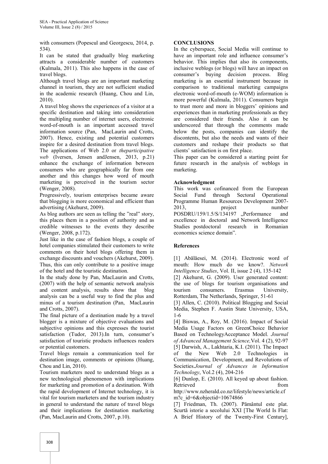with consumers (Popescul and Georgescu, 2014, p. 534).

It can be stated that gradually blog marketing attracts a considerable number of customers (Kulmala, 2011). This also happens in the case of travel blogs.

Although travel blogs are an important marketing channel in tourism, they are not sufficient studied in the academic research (Huang, Chou and Lin, 2010).

A travel blog shows the experiences of a visitor at a specific destination and taking into consideration the multipling number of internet users, electronic word-of-mouth is an important accessed travel information source (Pan, MacLaurin and Crotts, 2007). Hence, existing and potential customers inspire for a desired destination from travel blogs. The applications of Web 2.0 or *theparticipative web* (Iversen, Jensen andJensen, 2013, p.21) enhance the exchange of information between consumers who are geographically far from one another and this changes how word of mouth marketing is perceived in the tourism sector (Wenger, 2008).

Progressively, tourism enterprises became aware that blogging is more economical and efficient than advertising (Akehurst, 2009).

As blog authors are seen as telling the "real" story, this places them in a position of authority and as credible witnesses to the events they describe (Wenger, 2008, p.172).

Just like in the case of fashion blogs, a couple of hotel companies stimulated their customers to write comments on their hotel blogs offering them in exchange discounts and vouchers (Akehurst, 2009). Thus, this can only contribute to a positive image of the hotel and the touristic destination.

In the study done by Pan, MacLaurin and Crotts, (2007) with the help of semantic network analysis and content analysis, results show that blog analysis can be a useful way to find the plus and minus of a tourism destination (Pan, MacLaurin and Crotts, 2007).

The final picture of a destination made by a travel blogger is a mixture of objective evaluations and subjective opinions and this expresses the tourist satisfaction (Tudor, 2013).In turn, consumer's satisfaction of touristic products influences readers or potential customers.

Travel blogs remain a communication tool for destination image, comments or opinions (Huang, Chou and Lin, 2010).

Tourism marketers need to understand blogs as a new technological phenomenon with implications for marketing and promotion of a destination. With the rapid development of Internet technology, it is vital for tourism marketers and the tourism industry in general to understand the nature of travel blogs and their implications for destination marketing (Pan, MacLaurin and Crotts, 2007, p.10).

## **CONCLUSIONS**

In the cyberspace, Social Media will continue to have an important role and influence consumer's behavior. This implies that also its components, inclusive weblogs (or blogs) will have an impact on consumer's buying decision process. Blog marketing is an essential instrument because in comparison to traditional marketing campaigns electronic word-of-mouth (e-WOM) information is more powerful (Kulmala, 2011). Consumers begin to trust more and more in bloggers' opinions and experiences than in marketing professionals as they are considered their friends. Also it can be underscored that through the comments made below the posts, companies can identify the discontents, but also the needs and wants of their customers and reshape their products so that clients' satisfaction is on first place.

This paper can be considered a starting point for future research in the analysis of weblogs in marketing.

## **Acknowledgment**

This work was cofinanced from the European Social Fund through Sectoral Operational Programme Human Resources Development 2007- 2013, project number POSDRU/159/1.5/S/134197 "Performance and excellence in doctoral and Network Intelligence Studies postdoctoral research in Romanian economics science domain".

## **References**

[1] Abălăesei, M. (2014). Electronic word of mouth: How much do we know?. *Network Intelligence Studies*, Vol. II, issue 2 (4), 135-142

[2] Akehurst, G. (2009). User generated content: the use of blogs for tourism organisations and consumers. Erasmus University, Rotterdam, The Netherlands, Springer, 51-61

[3] Allen, C. (2010). Political Blogging and Social Media, Stephen F. Austin State University, USA, 1-6

[4] Biswas, A., Roy, M. (2016). Impact of Social Media Usage Factors on GreenChoice Behavior Based on TechnologyAcceptance Model. *Journal of Advanced Management Science,*Vol. 4 (2), 92-97 [5] Darwish, A., Lakhtaria, K.I. (2011). The Impact of the New Web 2.0 Technologies in Communication, Development, and Revolutions of Societies.*Journal of Advances in Information Technology*, Vol.2 (4), 204-216

[6] Dunlop, E. (2010). All keyed up about fashion. Retrieved from the settlement of the settlement of the settlement of the settlement of the settlement of the settlement of the settlement of the settlement of the settlement of the settlement of the settlement of the settl

http://www.nzherald.co.nz/lifestyle/news/article.cf m?c\_id=6&objectid=10674866

[7] Friedman, Th. (2007). Pământul este plat. Scurtă istorie a secolului XXI [The World Is Flat: A Brief History of the Twenty-First Century],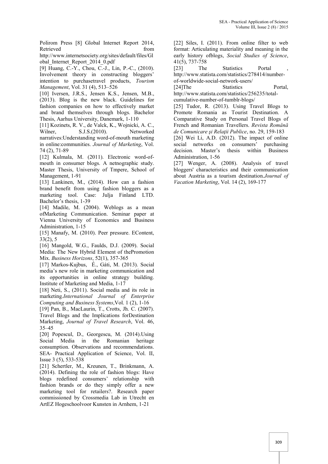Polirom Press [8] Global Internet Report 2014, Retrieved from the state of the state of the state of the state of the state of the state of the state of the state of the state of the state of the state of the state of the state of the state of the state of the state of

http://www.internetsociety.org/sites/default/files/Gl obal\_Internet\_Report\_2014\_0.pdf

[9] Huang, C.-Y., Chou, C.-J., Lin, P.-C., (2010). Involvement theory in constructing bloggers' intention to purchasetravel products, *Tourism Management*, Vol. 31 (4), 513–526

[10] Iversen, J.R.S., Jensen K.S., Jensen, M.B., (2013). Blog is the new black. Guidelines for fashion companies on how to effectively market and brand themselves through blogs. Bachelor Thesis, Aarhus University, Danemark, 1-110

[11] Kozinets, R. V., de Valck, K., Wojnicki, A. C., Wilner, S.J.S.(2010). Networked narratives:Understanding word-of-mouth marketing in online:communities. *Journal of Marketing*, Vol. 74 (2), 71-89

[12] Kulmala, M. (2011). Electronic word-ofmouth in consumer blogs. A netnographic study. Master Thesis, University of Tmpere, School of Management, 1-91

[13] Lankinen, M., (2014). How can a fashion brand benefit from using fashion bloggers as a marketing tool. Case: Julja Finland LTD. Bachelor's thesis, 1-39

[14] Madile, M. (2004). Weblogs as a mean ofMarketing Communication. Seminar paper at Vienna University of Economics and Business Administration, 1-15

[15] Manafy, M. (2010). Peer pressure. EContent, 33(2), 5

[16] Mangold, W.G., Faulds, D.J. (2009). Social Media: The New Hybrid Element of thePromotion Mix. *Business Horizons*, 52(1), 357-365

[17] Markos-Kujbus, É., Gáti, M. (2013). Social media's new role in marketing communication and its opportunities in online strategy building. Institute of Marketing and Media, 1-17

[18] Neti, S., (2011). Social media and its role in marketing.*International Journal of Enterprise Computing and Business Systems*,Vol. 1 (2), 1-16

[19] Pan, B., MacLaurin, T., Crotts, Jh. C. (2007). Travel Blogs and the Implications forDestination Marketing, *Journal of Travel Research*, Vol. 46, 35–45

[20] Popescul, D., Georgescu, M. (2014).Using Social Media in the Romanian heritage consumption. Observations and recommendations. SEA- Practical Application of Science, Vol. II, Issue 3 (5), 533-538

[21] Schertler, M., Kreunen, T., Brinkmann, A. (2014). Defining the role of fashion blogs: Have blogs redefined consumers' relationship with fashion brands or do they simply offer a new marketing tool for retailers?. Research paper commissioned by Crossmedia Lab in Utrecht en ArtEZ Hogeschoolvoor Kunsten in Arnhem, 1-21

[22] Siles, I. (2011). From online filter to web format: Articulating materiality and meaning in the early history ofblogs, *Social Studies of Science*, 41(5), 737-758

[23] The Statistics Portal http://www.statista.com/statistics/278414/number of-worldwide-social-network-users/

[24]The Statistics Portal, http://www.statista.com/statistics/256235/total-

cumulative-number-of-tumblr-blogs/

[25] Tudor, R. (2013). Using Travel Blogs to Promote Romania as Tourist Destination. A Comparative Study on Personal Travel Blogs of French and Romanian Travellers. *Revista Română de Comunicare şi Relaţii Publice*, no. 29, 159-183

[26] Wei Li, A.D. (2012). The impact of online social networks on consumers' purchasing decision. Master's thesis within Business Administration, 1-56

[27] Wenger, A. (2008). Analysis of travel bloggers' characteristics and their communication about Austria as a tourism destination.*Journal of Vacation Marketing*, Vol. 14 (2), 169-177